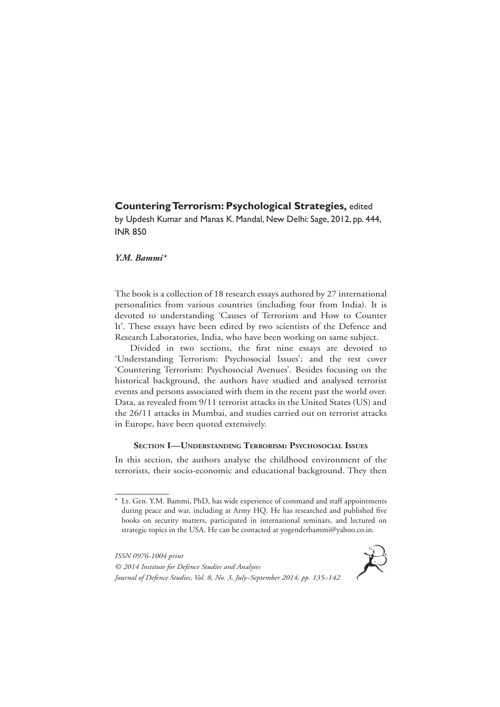# **Countering Terrorism: Psychological Strategies,** edited

by Updesh Kumar and Manas K. Mandal, New Delhi: Sage, 2012, pp. 444, INR 850

# *Y.M. Bammi\**

The book is a collection of 18 research essays authored by 27 international personalities from various countries (including four from India). It is devoted to understanding 'Causes of Terrorism and How to Counter It'. These essays have been edited by two scientists of the Defence and Research Laboratories, India, who have been working on same subject.

Divided in two sections, the first nine essays are devoted to 'Understanding Terrorism: Psychosocial Issues'; and the rest cover 'Countering Terrorism: Psychosocial Avenues'. Besides focusing on the historical background, the authors have studied and analysed terrorist events and persons associated with them in the recent past the world over. Data, as revealed from 9/11 terrorist attacks in the United States (US) and the 26/11 attacks in Mumbai, and studies carried out on terrorist attacks in Europe, have been quoted extensively.

# **Section I—Understanding Terrorism: Psychosocial Issues**

In this section, the authors analyse the childhood environment of the terrorists, their socio-economic and educational background. They then

*ISSN 0976-1004 print © 2014 Institute for Defence Studies and Analyses Journal of Defence Studies, Vol. 8, No. 3, July–September 2014, pp. 135–142*



<sup>\*</sup> Lt. Gen. Y.M. Bammi, PhD, has wide experience of command and staff appointments during peace and war, including at Army HQ. He has researched and published five books on security matters, participated in international seminars, and lectured on strategic topics in the USA. He can be contacted at yogenderbammi@yahoo.co.in.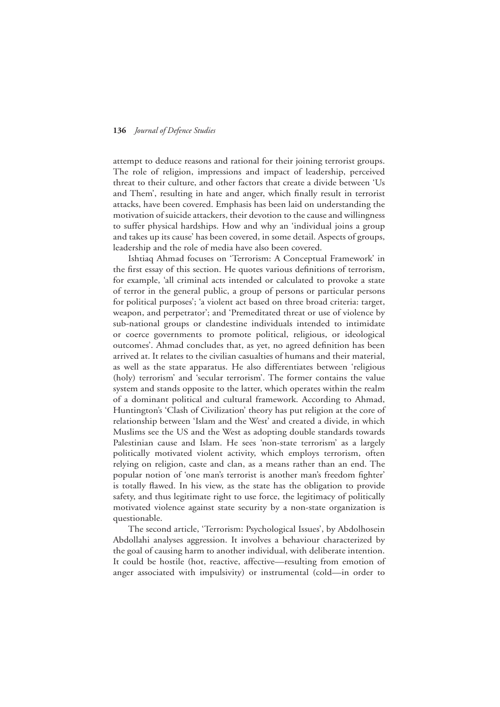attempt to deduce reasons and rational for their joining terrorist groups. The role of religion, impressions and impact of leadership, perceived threat to their culture, and other factors that create a divide between 'Us and Them', resulting in hate and anger, which finally result in terrorist attacks, have been covered. Emphasis has been laid on understanding the motivation of suicide attackers, their devotion to the cause and willingness to suffer physical hardships. How and why an 'individual joins a group and takes up its cause' has been covered, in some detail. Aspects of groups, leadership and the role of media have also been covered.

Ishtiaq Ahmad focuses on 'Terrorism: A Conceptual Framework' in the first essay of this section. He quotes various definitions of terrorism, for example, 'all criminal acts intended or calculated to provoke a state of terror in the general public, a group of persons or particular persons for political purposes'; 'a violent act based on three broad criteria: target, weapon, and perpetrator'; and 'Premeditated threat or use of violence by sub-national groups or clandestine individuals intended to intimidate or coerce governments to promote political, religious, or ideological outcomes'. Ahmad concludes that, as yet, no agreed definition has been arrived at. It relates to the civilian casualties of humans and their material, as well as the state apparatus. He also differentiates between 'religious (holy) terrorism' and 'secular terrorism'. The former contains the value system and stands opposite to the latter, which operates within the realm of a dominant political and cultural framework. According to Ahmad, Huntington's 'Clash of Civilization' theory has put religion at the core of relationship between 'Islam and the West' and created a divide, in which Muslims see the US and the West as adopting double standards towards Palestinian cause and Islam. He sees 'non-state terrorism' as a largely politically motivated violent activity, which employs terrorism, often relying on religion, caste and clan, as a means rather than an end. The popular notion of 'one man's terrorist is another man's freedom fighter' is totally flawed. In his view, as the state has the obligation to provide safety, and thus legitimate right to use force, the legitimacy of politically motivated violence against state security by a non-state organization is questionable.

The second article, 'Terrorism: Psychological Issues', by Abdolhosein Abdollahi analyses aggression. It involves a behaviour characterized by the goal of causing harm to another individual, with deliberate intention. It could be hostile (hot, reactive, affective—resulting from emotion of anger associated with impulsivity) or instrumental (cold—in order to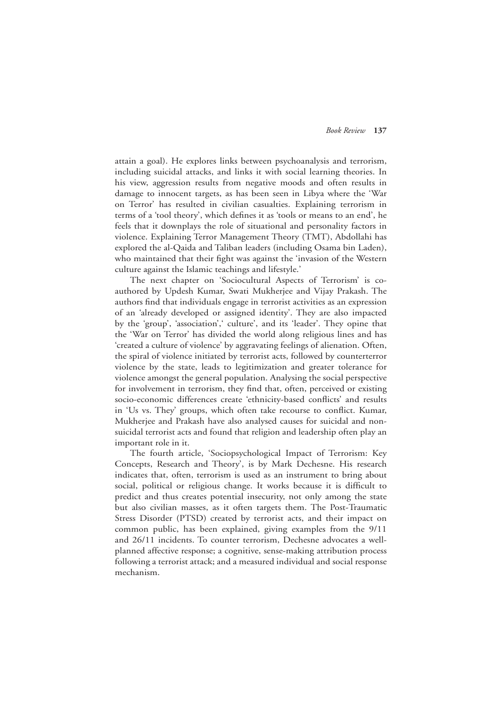attain a goal). He explores links between psychoanalysis and terrorism, including suicidal attacks, and links it with social learning theories. In his view, aggression results from negative moods and often results in damage to innocent targets, as has been seen in Libya where the 'War on Terror' has resulted in civilian casualties. Explaining terrorism in terms of a 'tool theory', which defines it as 'tools or means to an end', he feels that it downplays the role of situational and personality factors in violence. Explaining Terror Management Theory (TMT), Abdollahi has explored the al-Qaida and Taliban leaders (including Osama bin Laden), who maintained that their fight was against the 'invasion of the Western culture against the Islamic teachings and lifestyle.'

The next chapter on 'Sociocultural Aspects of Terrorism' is coauthored by Updesh Kumar, Swati Mukherjee and Vijay Prakash. The authors find that individuals engage in terrorist activities as an expression of an 'already developed or assigned identity'. They are also impacted by the 'group', 'association',' culture', and its 'leader'. They opine that the 'War on Terror' has divided the world along religious lines and has 'created a culture of violence' by aggravating feelings of alienation. Often, the spiral of violence initiated by terrorist acts, followed by counterterror violence by the state, leads to legitimization and greater tolerance for violence amongst the general population. Analysing the social perspective for involvement in terrorism, they find that, often, perceived or existing socio-economic differences create 'ethnicity-based conflicts' and results in 'Us vs. They' groups, which often take recourse to conflict. Kumar, Mukherjee and Prakash have also analysed causes for suicidal and nonsuicidal terrorist acts and found that religion and leadership often play an important role in it.

The fourth article, 'Sociopsychological Impact of Terrorism: Key Concepts, Research and Theory', is by Mark Dechesne. His research indicates that, often, terrorism is used as an instrument to bring about social, political or religious change. It works because it is difficult to predict and thus creates potential insecurity, not only among the state but also civilian masses, as it often targets them. The Post-Traumatic Stress Disorder (PTSD) created by terrorist acts, and their impact on common public, has been explained, giving examples from the 9/11 and 26/11 incidents. To counter terrorism, Dechesne advocates a wellplanned affective response; a cognitive, sense-making attribution process following a terrorist attack; and a measured individual and social response mechanism.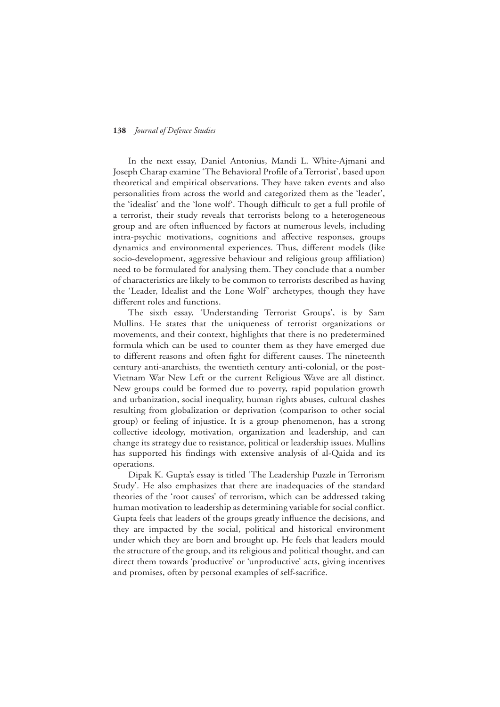In the next essay, Daniel Antonius, Mandi L. White-Ajmani and Joseph Charap examine 'The Behavioral Profile of a Terrorist', based upon theoretical and empirical observations. They have taken events and also personalities from across the world and categorized them as the 'leader', the 'idealist' and the 'lone wolf'. Though difficult to get a full profile of a terrorist, their study reveals that terrorists belong to a heterogeneous group and are often influenced by factors at numerous levels, including intra-psychic motivations, cognitions and affective responses, groups dynamics and environmental experiences. Thus, different models (like socio-development, aggressive behaviour and religious group affiliation) need to be formulated for analysing them. They conclude that a number of characteristics are likely to be common to terrorists described as having the 'Leader, Idealist and the Lone Wolf' archetypes, though they have different roles and functions.

The sixth essay, 'Understanding Terrorist Groups', is by Sam Mullins. He states that the uniqueness of terrorist organizations or movements, and their context, highlights that there is no predetermined formula which can be used to counter them as they have emerged due to different reasons and often fight for different causes. The nineteenth century anti-anarchists, the twentieth century anti-colonial, or the post-Vietnam War New Left or the current Religious Wave are all distinct. New groups could be formed due to poverty, rapid population growth and urbanization, social inequality, human rights abuses, cultural clashes resulting from globalization or deprivation (comparison to other social group) or feeling of injustice. It is a group phenomenon, has a strong collective ideology, motivation, organization and leadership, and can change its strategy due to resistance, political or leadership issues. Mullins has supported his findings with extensive analysis of al-Qaida and its operations.

Dipak K. Gupta's essay is titled 'The Leadership Puzzle in Terrorism Study'. He also emphasizes that there are inadequacies of the standard theories of the 'root causes' of terrorism, which can be addressed taking human motivation to leadership as determining variable for social conflict. Gupta feels that leaders of the groups greatly influence the decisions, and they are impacted by the social, political and historical environment under which they are born and brought up. He feels that leaders mould the structure of the group, and its religious and political thought, and can direct them towards 'productive' or 'unproductive' acts, giving incentives and promises, often by personal examples of self-sacrifice.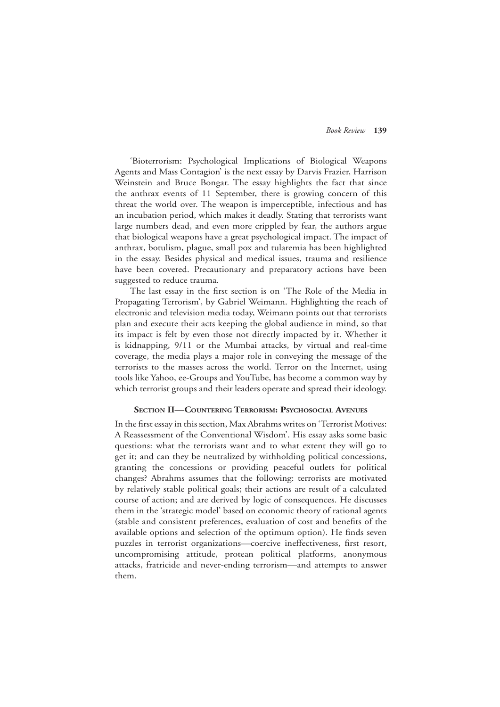'Bioterrorism: Psychological Implications of Biological Weapons Agents and Mass Contagion' is the next essay by Darvis Frazier, Harrison Weinstein and Bruce Bongar. The essay highlights the fact that since the anthrax events of 11 September, there is growing concern of this threat the world over. The weapon is imperceptible, infectious and has an incubation period, which makes it deadly. Stating that terrorists want large numbers dead, and even more crippled by fear, the authors argue that biological weapons have a great psychological impact. The impact of anthrax, botulism, plague, small pox and tularemia has been highlighted in the essay. Besides physical and medical issues, trauma and resilience have been covered. Precautionary and preparatory actions have been suggested to reduce trauma.

The last essay in the first section is on 'The Role of the Media in Propagating Terrorism', by Gabriel Weimann. Highlighting the reach of electronic and television media today, Weimann points out that terrorists plan and execute their acts keeping the global audience in mind, so that its impact is felt by even those not directly impacted by it. Whether it is kidnapping, 9/11 or the Mumbai attacks, by virtual and real-time coverage, the media plays a major role in conveying the message of the terrorists to the masses across the world. Terror on the Internet, using tools like Yahoo, ee-Groups and YouTube, has become a common way by which terrorist groups and their leaders operate and spread their ideology.

#### **Section Ii—Countering Terrorism: Psychosocial Avenues**

In the first essay in this section, Max Abrahms writes on 'Terrorist Motives: A Reassessment of the Conventional Wisdom'. His essay asks some basic questions: what the terrorists want and to what extent they will go to get it; and can they be neutralized by withholding political concessions, granting the concessions or providing peaceful outlets for political changes? Abrahms assumes that the following: terrorists are motivated by relatively stable political goals; their actions are result of a calculated course of action; and are derived by logic of consequences. He discusses them in the 'strategic model' based on economic theory of rational agents (stable and consistent preferences, evaluation of cost and benefits of the available options and selection of the optimum option). He finds seven puzzles in terrorist organizations—coercive ineffectiveness, first resort, uncompromising attitude, protean political platforms, anonymous attacks, fratricide and never-ending terrorism—and attempts to answer them.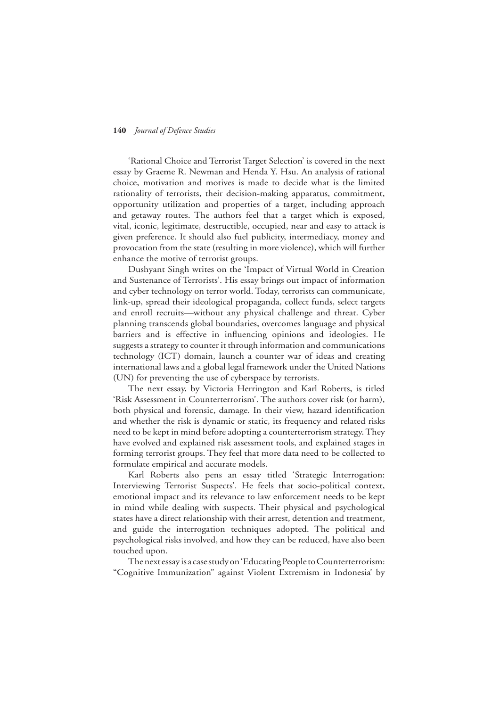'Rational Choice and Terrorist Target Selection' is covered in the next essay by Graeme R. Newman and Henda Y. Hsu. An analysis of rational choice, motivation and motives is made to decide what is the limited rationality of terrorists, their decision-making apparatus, commitment, opportunity utilization and properties of a target, including approach and getaway routes. The authors feel that a target which is exposed, vital, iconic, legitimate, destructible, occupied, near and easy to attack is given preference. It should also fuel publicity, intermediacy, money and provocation from the state (resulting in more violence), which will further enhance the motive of terrorist groups.

Dushyant Singh writes on the 'Impact of Virtual World in Creation and Sustenance of Terrorists'. His essay brings out impact of information and cyber technology on terror world. Today, terrorists can communicate, link-up, spread their ideological propaganda, collect funds, select targets and enroll recruits—without any physical challenge and threat. Cyber planning transcends global boundaries, overcomes language and physical barriers and is effective in influencing opinions and ideologies. He suggests a strategy to counter it through information and communications technology (ICT) domain, launch a counter war of ideas and creating international laws and a global legal framework under the United Nations (UN) for preventing the use of cyberspace by terrorists.

The next essay, by Victoria Herrington and Karl Roberts, is titled 'Risk Assessment in Counterterrorism'. The authors cover risk (or harm), both physical and forensic, damage. In their view, hazard identification and whether the risk is dynamic or static, its frequency and related risks need to be kept in mind before adopting a counterterrorism strategy. They have evolved and explained risk assessment tools, and explained stages in forming terrorist groups. They feel that more data need to be collected to formulate empirical and accurate models.

Karl Roberts also pens an essay titled 'Strategic Interrogation: Interviewing Terrorist Suspects'. He feels that socio-political context, emotional impact and its relevance to law enforcement needs to be kept in mind while dealing with suspects. Their physical and psychological states have a direct relationship with their arrest, detention and treatment, and guide the interrogation techniques adopted. The political and psychological risks involved, and how they can be reduced, have also been touched upon.

The next essay is a case study on 'Educating People to Counterterrorism: "Cognitive Immunization" against Violent Extremism in Indonesia' by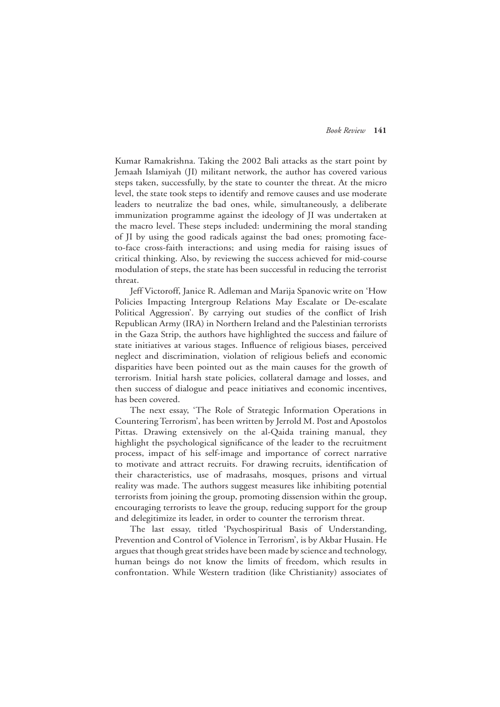Kumar Ramakrishna. Taking the 2002 Bali attacks as the start point by Jemaah Islamiyah (JI) militant network, the author has covered various steps taken, successfully, by the state to counter the threat. At the micro level, the state took steps to identify and remove causes and use moderate leaders to neutralize the bad ones, while, simultaneously, a deliberate immunization programme against the ideology of JI was undertaken at the macro level. These steps included: undermining the moral standing of JI by using the good radicals against the bad ones; promoting faceto-face cross-faith interactions; and using media for raising issues of critical thinking. Also, by reviewing the success achieved for mid-course modulation of steps, the state has been successful in reducing the terrorist threat.

Jeff Victoroff, Janice R. Adleman and Marija Spanovic write on 'How Policies Impacting Intergroup Relations May Escalate or De-escalate Political Aggression'. By carrying out studies of the conflict of Irish Republican Army (IRA) in Northern Ireland and the Palestinian terrorists in the Gaza Strip, the authors have highlighted the success and failure of state initiatives at various stages. Influence of religious biases, perceived neglect and discrimination, violation of religious beliefs and economic disparities have been pointed out as the main causes for the growth of terrorism. Initial harsh state policies, collateral damage and losses, and then success of dialogue and peace initiatives and economic incentives, has been covered.

The next essay, 'The Role of Strategic Information Operations in Countering Terrorism', has been written by Jerrold M. Post and Apostolos Pittas. Drawing extensively on the al-Qaida training manual, they highlight the psychological significance of the leader to the recruitment process, impact of his self-image and importance of correct narrative to motivate and attract recruits. For drawing recruits, identification of their characteristics, use of madrasahs, mosques, prisons and virtual reality was made. The authors suggest measures like inhibiting potential terrorists from joining the group, promoting dissension within the group, encouraging terrorists to leave the group, reducing support for the group and delegitimize its leader, in order to counter the terrorism threat.

The last essay, titled 'Psychospiritual Basis of Understanding, Prevention and Control of Violence in Terrorism', is by Akbar Husain. He argues that though great strides have been made by science and technology, human beings do not know the limits of freedom, which results in confrontation. While Western tradition (like Christianity) associates of